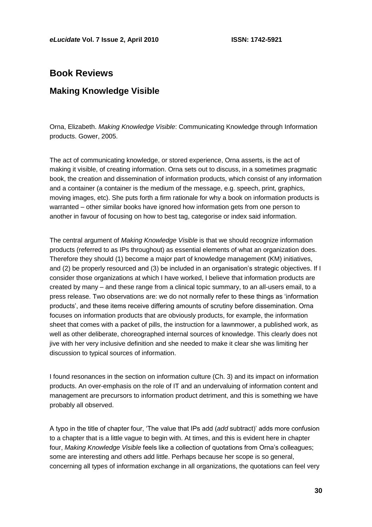## **Book Reviews**

## **Making Knowledge Visible**

Orna, Elizabeth. *Making Knowledge Visible*: Communicating Knowledge through Information products. Gower, 2005.

The act of communicating knowledge, or stored experience, Orna asserts, is the act of making it visible, of creating information. Orna sets out to discuss, in a sometimes pragmatic book, the creation and dissemination of information products, which consist of any information and a container (a container is the medium of the message, e.g. speech, print, graphics, moving images, etc). She puts forth a firm rationale for why a book on information products is warranted – other similar books have ignored how information gets from one person to another in favour of focusing on how to best tag, categorise or index said information.

The central argument of *Making Knowledge Visible* is that we should recognize information products (referred to as IPs throughout) as essential elements of what an organization does. Therefore they should (1) become a major part of knowledge management (KM) initiatives, and (2) be properly resourced and (3) be included in an organisation's strategic objectives. If I consider those organizations at which I have worked, I believe that information products are created by many – and these range from a clinical topic summary, to an all-users email, to a press release. Two observations are: we do not normally refer to these things as ‗information products', and these items receive differing amounts of scrutiny before dissemination. Orna focuses on information products that are obviously products, for example, the information sheet that comes with a packet of pills, the instruction for a lawnmower, a published work, as well as other deliberate, choreographed internal sources of knowledge. This clearly does not jive with her very inclusive definition and she needed to make it clear she was limiting her discussion to typical sources of information.

I found resonances in the section on information culture (Ch. 3) and its impact on information products. An over-emphasis on the role of IT and an undervaluing of information content and management are precursors to information product detriment, and this is something we have probably all observed.

A typo in the title of chapter four, ‗The value that IPs add (*add* subtract)' adds more confusion to a chapter that is a little vague to begin with. At times, and this is evident here in chapter four, *Making Knowledge Visible* feels like a collection of quotations from Orna's colleagues; some are interesting and others add little. Perhaps because her scope is so general, concerning all types of information exchange in all organizations, the quotations can feel very